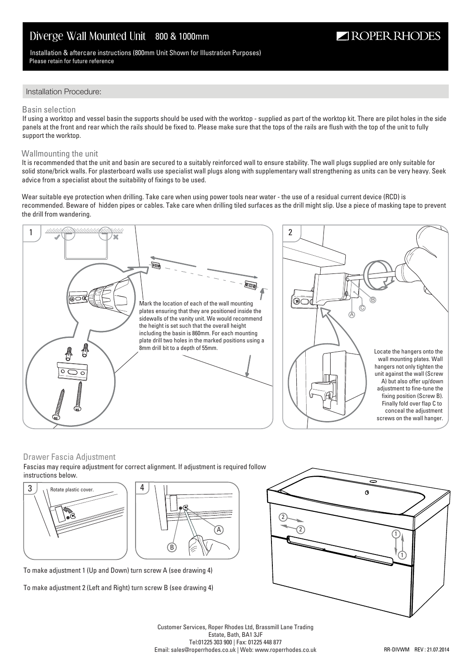# Diverge Wall Mounted Unit 800 & 1000mm

### Installation & aftercare instructions (800mm Unit Shown for Illustration Purposes) Please retain for future reference

# Installation Procedure:

#### Basin selection

If using a worktop and vessel basin the supports should be used with the worktop - supplied as part of the worktop kit. There are pilot holes in the side panels at the front and rear which the rails should be fixed to. Please make sure that the tops of the rails are flush with the top of the unit to fully support the worktop.

#### Wallmounting the unit

It is recommended that the unit and basin are secured to a suitably reinforced wall to ensure stability. The wall plugs supplied are only suitable for solid stone/brick walls. For plasterboard walls use specialist wall plugs along with supplementary wall strengthening as units can be very heavy. Seek advice from a specialist about the suitability of fixings to be used.

Wear suitable eye protection when drilling. Take care when using power tools near water - the use of a residual current device (RCD) is recommended. Beware of hidden pipes or cables. Take care when drilling tiled surfaces as the drill might slip. Use a piece of masking tape to prevent the drill from wandering.



### Drawer Fascia Adjustment

Fascias may require adjustment for correct alignment. If adjustment is required follow instructions below.



To make adjustment 1 (Up and Down) turn screw A (see drawing 4)

To make adjustment 2 (Left and Right) turn screw B (see drawing 4)



ROPER RHODES

Customer Services, Roper Rhodes Ltd, Brassmill Lane Trading Estate, Bath, BA1 3JF Tel:01225 303 900 | Fax: 01225 448 877 Email: sales@roperrhodes.co.uk | Web: www.roperrhodes.co.uk

A